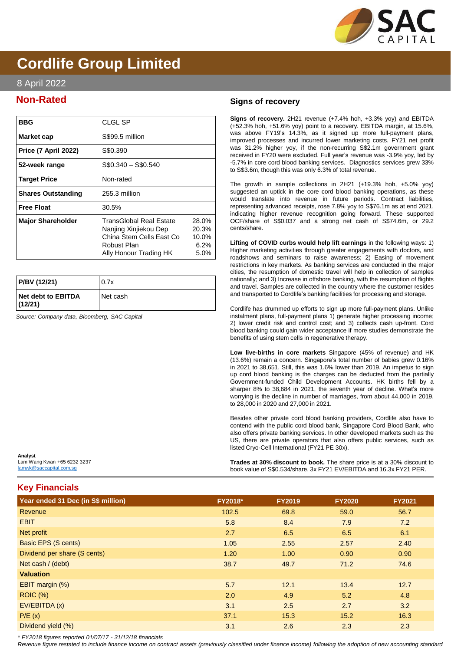

# **Cordlife Group Limited**

## 8 April 2022

## **Non-Rated**

| <b>BBG</b>                  | CLGL SP                                                                                                               |                                         |
|-----------------------------|-----------------------------------------------------------------------------------------------------------------------|-----------------------------------------|
| Market cap                  | S\$99.5 million                                                                                                       |                                         |
| <b>Price (7 April 2022)</b> | S\$0.390                                                                                                              |                                         |
| 52-week range               | $$0.340 - $0.540$                                                                                                     |                                         |
| <b>Target Price</b>         | Non-rated                                                                                                             |                                         |
| <b>Shares Outstanding</b>   | 255.3 million                                                                                                         |                                         |
| <b>Free Float</b>           | 30.5%                                                                                                                 |                                         |
| <b>Major Shareholder</b>    | TransGlobal Real Estate<br>Nanjing Xinjiekou Dep<br>China Stem Cells East Co<br>Robust Plan<br>Ally Honour Trading HK | 28.0%<br>20.3%<br>10.0%<br>6.2%<br>5.0% |

| P/BV (12/21)                  | 0.7x       |
|-------------------------------|------------|
| Net debt to EBITDA<br>(12/21) | l Net cash |

*Source: Company data, Bloomberg, SAC Capital*

### **Signs of recovery**

**Signs of recovery.** 2H21 revenue (+7.4% hoh, +3.3% yoy) and EBITDA (+52.3% hoh, +51.6% yoy) point to a recovery. EBITDA margin, at 15.6%, was above FY19's 14.3%, as it signed up more full-payment plans, improved processes and incurred lower marketing costs. FY21 net profit was 31.2% higher yoy, if the non-recurring S\$2.1m government grant received in FY20 were excluded. Full year's revenue was -3.9% yoy, led by -5.7% in core cord blood banking services. Diagnostics services grew 33% to S\$3.6m, though this was only 6.3% of total revenue.

The growth in sample collections in 2H21 (+19.3% hoh, +5.0% yoy) suggested an uptick in the core cord blood banking operations, as these would translate into revenue in future periods. Contract liabilities, representing advanced receipts, rose 7.8% yoy to S\$76.1m as at end 2021, indicating higher revenue recognition going forward. These supported OCF/share of S\$0.037 and a strong net cash of S\$74.6m, or 29.2 cents/share.

**Lifting of COVID curbs would help lift earnings** in the following ways: 1) Higher marketing activities through greater engagements with doctors, and roadshows and seminars to raise awareness; 2) Easing of movement restrictions in key markets. As banking services are conducted in the major cities, the resumption of domestic travel will help in collection of samples nationally; and 3) Increase in offshore banking, with the resumption of flights and travel. Samples are collected in the country where the customer resides and transported to Cordlife's banking facilities for processing and storage.

Cordlife has drummed up efforts to sign up more full-payment plans. Unlike instalment plans, full-payment plans 1) generate higher processing income; 2) lower credit risk and control cost; and 3) collects cash up-front. Cord blood banking could gain wider acceptance if more studies demonstrate the benefits of using stem cells in regenerative therapy.

**Low live-births in core markets** Singapore (45% of revenue) and HK (13.6%) remain a concern. Singapore's total number of babies grew 0.16% in 2021 to 38,651. Still, this was 1.6% lower than 2019. An impetus to sign up cord blood banking is the charges can be deducted from the partially Government-funded Child Development Accounts. HK births fell by a sharper 8% to 38,684 in 2021, the seventh year of decline. What's more worrying is the decline in number of marriages, from about 44,000 in 2019, to 28,000 in 2020 and 27,000 in 2021.

Besides other private cord blood banking providers, Cordlife also have to contend with the public cord blood bank, Singapore Cord Blood Bank, who also offers private banking services. In other developed markets such as the US, there are private operators that also offers public services, such as listed Cryo-Cell International (FY21 PE 30x).

**Trades at 30% discount to book.** The share price is at a 30% discount to book value of S\$0.534/share, 3x FY21 EV/EBITDA and 16.3x FY21 PER.

## **Key Financials**

Lam Wang Kwan +65 6232 3237 [lamwk@saccapital.com.sg](mailto:lamwk@saccapital.com.sg)

**Analyst**

| Year ended 31 Dec (in S\$ million) | <b>FY2018*</b> | <b>FY2019</b> | <b>FY2020</b> | <b>FY2021</b> |
|------------------------------------|----------------|---------------|---------------|---------------|
| Revenue                            | 102.5          | 69.8          | 59.0          | 56.7          |
| <b>EBIT</b>                        | 5.8            | 8.4           | 7.9           | 7.2           |
| Net profit                         | 2.7            | 6.5           | 6.5           | 6.1           |
| <b>Basic EPS (S cents)</b>         | 1.05           | 2.55          | 2.57          | 2.40          |
| Dividend per share (S cents)       | 1.20           | 1.00          | 0.90          | 0.90          |
| Net cash / (debt)                  | 38.7           | 49.7          | 71.2          | 74.6          |
| <b>Valuation</b>                   |                |               |               |               |
| EBIT margin (%)                    | 5.7            | 12.1          | 13.4          | 12.7          |
| <b>ROIC (%)</b>                    | 2.0            | 4.9           | 5.2           | 4.8           |
| EV/EBITDA (x)                      | 3.1            | 2.5           | 2.7           | 3.2           |
| P/E(x)                             | 37.1           | 15.3          | 15.2          | 16.3          |
| Dividend yield (%)                 | 3.1            | 2.6           | 2.3           | 2.3           |

*\* FY2018 figures reported 01/07/17 - 31/12/18 financials*

*Revenue figure restated to include finance income on contract assets (previously classified under finance income) following the adoption of new accounting standard*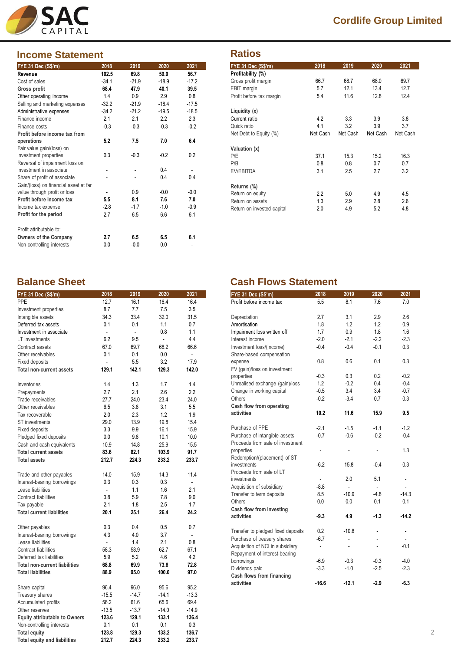

## **Income Statement**

| <b>FYE 31 Dec (S\$'m)</b>             | 2018    | 2019    | 2020    | 2021    |
|---------------------------------------|---------|---------|---------|---------|
| Revenue                               | 102.5   | 69.8    | 59.0    | 56.7    |
| Cost of sales                         | $-34.1$ | $-21.9$ | $-18.9$ | $-17.2$ |
| Gross profit                          | 68.4    | 47.9    | 40.1    | 39.5    |
| Other operating income                | 1.4     | 0.9     | 2.9     | 0.8     |
| Selling and marketing expenses        | $-32.2$ | $-21.9$ | $-18.4$ | $-17.5$ |
| Administrative expenses               | $-34.2$ | $-21.2$ | $-19.5$ | $-18.5$ |
| Finance income                        | 2.1     | 2.1     | 2.2     | 2.3     |
| Finance costs                         | $-0.3$  | $-0.3$  | $-0.3$  | $-0.2$  |
| Profit before income tax from         |         |         |         |         |
| operations                            | 5.2     | 7.5     | 7.0     | 6.4     |
| Fair value gain/(loss) on             |         |         |         |         |
| investment properties                 | 0.3     | $-0.3$  | $-0.2$  | 0.2     |
| Reversal of impairment loss on        |         |         |         |         |
| investment in associate               |         |         | 0.4     |         |
| Share of profit of associate          |         |         | 0.4     | 0.4     |
| Gain/(loss) on financial asset at far |         |         |         |         |
| value through profit or loss          | ٠       | 0.9     | $-0.0$  | $-0.0$  |
| Profit before income tax              | 5.5     | 8.1     | 7.6     | 7.0     |
| Income tax expense                    | $-2.8$  | $-1.7$  | $-1.0$  | $-0.9$  |
| Profit for the period                 | 2.7     | 6.5     | 6.6     | 6.1     |
| Profit attributable to:               |         |         |         |         |
| <b>Owners of the Company</b>          | 2.7     | 6.5     | 6.5     | 6.1     |
| Non-controlling interests             | 0.0     | $-0.0$  | 0.0     |         |

# **Cordlife Group Limited**

## **Ratios**

| ,,,,,                      |          |          |          |          |
|----------------------------|----------|----------|----------|----------|
| <b>FYE 31 Dec (S\$'m)</b>  | 2018     | 2019     | 2020     | 2021     |
| Profitability (%)          |          |          |          |          |
| Gross profit margin        | 66.7     | 68.7     | 68.0     | 69.7     |
| EBIT margin                | 5.7      | 12.1     | 13.4     | 12.7     |
| Profit before tax margin   | 5.4      | 11.6     | 12.8     | 12.4     |
| Liquidity (x)              |          |          |          |          |
| Current ratio              | 4.2      | 3.3      | 3.9      | 3.8      |
| Quick ratio                | 4.1      | 3.2      | 3.9      | 3.7      |
| Net Debt to Equity (%)     | Net Cash | Net Cash | Net Cash | Net Cash |
| Valuation (x)              |          |          |          |          |
| P/E                        | 37.1     | 15.3     | 15.2     | 16.3     |
| P/B                        | 0.8      | 0.8      | 0.7      | 0.7      |
| EV/EBITDA                  | 3.1      | 2.5      | 2.7      | 3.2      |
| Returns (%)                |          |          |          |          |
| Return on equity           | 2.2      | 5.0      | 4.9      | 4.5      |
| Return on assets           | 1.3      | 2.9      | 2.8      | 2.6      |
| Return on invested capital | 2.0      | 4.9      | 5.2      | 4.8      |

| FYE 31 Dec (S\$'m)                   | 2018           | 2019    | 2020    | 2021                     |
|--------------------------------------|----------------|---------|---------|--------------------------|
| <b>PPE</b>                           | 12.7           | 16.1    | 16.4    | 16.4                     |
| Investment properties                | 8.7            | 7.7     | 7.5     | 3.5                      |
| Intangible assets                    | 34.3           | 33.4    | 32.0    | 31.5                     |
| Deferred tax assets                  | 0.1            | 0.1     | 1.1     | 0.7                      |
| Investment in associate              | $\overline{a}$ | L.      | 0.8     | 1.1                      |
| LT investments                       | 6.2            | 9.5     | ä,      | 4.4                      |
| Contract assets                      | 67.0           | 69.7    | 68.2    | 66.6                     |
| Other receivables                    | 0.1            | 0.1     | 0.0     | $\overline{a}$           |
| <b>Fixed deposits</b>                | $\overline{a}$ | 5.5     | 3.2     | 17.9                     |
| <b>Total non-current assets</b>      | 129.1          | 142.1   | 129.3   | 142.0                    |
| Inventories                          | 1.4            | 1.3     | 1.7     | 1.4                      |
| Prepayments                          | 2.7            | 2.1     | 2.6     | 2.2                      |
| Trade receivables                    | 27.7           | 24.0    | 23.4    | 24.0                     |
| Other receivables                    | 6.5            | 3.8     | 3.1     | 5.5                      |
| Tax recoverable                      | 2.0            | 2.3     | 1.2     | 1.9                      |
| <b>ST</b> investments                | 29.0           | 13.9    | 19.8    | 15.4                     |
| <b>Fixed deposits</b>                | 3.3            | 9.9     | 16.1    | 15.9                     |
| Pledged fixed deposits               | 0.0            | 9.8     | 10.1    | 10.0                     |
| Cash and cash equivalents            | 10.9           | 14.8    | 25.9    | 15.5                     |
| <b>Total current assets</b>          | 83.6           | 82.1    | 103.9   | 91.7                     |
| <b>Total assets</b>                  | 212.7          | 224.3   | 233.2   | 233.7                    |
| Trade and other payables             | 14.0           | 15.9    | 14.3    | 11.4                     |
| Interest-bearing borrowings          | 0.3            | 0.3     | 0.3     | L.                       |
| Lease liabilities                    | $\overline{a}$ | 1.1     | 1.6     | 2.1                      |
| Contract liabilities                 | 3.8            | 5.9     | 7.8     | 9.0                      |
| Tax payable                          | 2.1            | 1.8     | 2.5     | 1.7                      |
| <b>Total current liabilities</b>     | 20.1           | 25.1    | 26.4    | 24.2                     |
| Other payables                       | 0.3            | 0.4     | 0.5     | 0.7                      |
| Interest-bearing borrowings          | 4.3            | 4.0     | 3.7     | $\overline{\phantom{a}}$ |
| Lease liabilities                    | $\overline{a}$ | 1.4     | 2.1     | 0.8                      |
| Contract liabilities                 | 58.3           | 58.9    | 62.7    | 67.1                     |
| Deferred tax liabilities             | 5.9            | 5.2     | 4.6     | 4.2                      |
| <b>Total non-current liabilities</b> | 68.8           | 69.9    | 73.6    | 72.8                     |
| <b>Total liabilities</b>             | 88.9           | 95.0    | 100.0   | 97.0                     |
| Share capital                        | 96.4           | 96.0    | 95.6    | 95.2                     |
| Treasury shares                      | $-15.5$        | $-14.7$ | $-14.1$ | $-13.3$                  |
| Accumulated profits                  | 56.2           | 61.6    | 65.6    | 69.4                     |
| Other reserves                       | $-13.5$        | $-13.7$ | $-14.0$ | $-14.9$                  |
| <b>Equity attributable to Owners</b> | 123.6          | 129.1   | 133.1   | 136.4                    |
| Non-controlling interests            | 0.1            | 0.1     | 0.1     | 0.3                      |
| <b>Total equity</b>                  | 123.8          | 129.3   | 133.2   | 136.7                    |
| Total equity and liabilities         | 212.7          | 224.3   | 233.2   | 233.7                    |

## **Balance Sheet Cash Flows Statement**

| <b>FYE 31 Dec (S\$'m)</b>          | 2018           | 2019           | 2020                     | 2021                     |
|------------------------------------|----------------|----------------|--------------------------|--------------------------|
| Profit before income tax           | 5.5            | 8.1            | 7.6                      | 7.0                      |
|                                    |                |                |                          |                          |
| Depreciation                       | 2.7            | 3.1            | 2.9                      | 2.6                      |
| Amortisation                       | 1.8            | 1.2            | 1.2                      | 0.9                      |
| Impairment loss written off        | 1.7            | 0.9            | 1.8                      | 1.6                      |
| Interest income                    | $-2.0$         | $-2.1$         | $-2.2$                   | $-2.3$                   |
| Investment loss/(income)           | $-0.4$         | $-0.4$         | $-0.1$                   | 0.3                      |
| Share-based compensation           |                |                |                          |                          |
| expense                            | 0.8            | 0.6            | 0.1                      | 0.3                      |
| FV (gain)/loss on investment       |                |                |                          |                          |
| properties                         | $-0.3$         | 0.3            | 0.2                      | $-0.2$                   |
| Unrealised exchange (gain)/loss    | 1.2            | $-0.2$         | 0.4                      | $-0.4$                   |
| Change in working capital          | $-0.5$         | 3.4            | 3.4                      | $-0.7$                   |
| Others                             | $-0.2$         | $-3.4$         | 0.7                      | 0.3                      |
| Cash flow from operating           |                |                |                          |                          |
| activities                         | 10.2           | 11.6           | 15.9                     | 9.5                      |
| Purchase of PPE                    | $-2.1$         | $-1.5$         | $-1.1$                   | $-1.2$                   |
| Purchase of intangible assets      | $-0.7$         | $-0.6$         | $-0.2$                   | $-0.4$                   |
| Proceeds from sale of investment   |                |                |                          |                          |
| properties                         | $\overline{a}$ |                | $\overline{a}$           | 1.3                      |
| Redemption/(placement) of ST       |                |                |                          |                          |
| investments                        | $-6.2$         | 15.8           | $-0.4$                   | 0.3                      |
| Proceeds from sale of LT           |                |                |                          |                          |
| investments                        | ÷.             | 2.0            | 5.1                      | $\overline{\phantom{0}}$ |
| Acquisition of subsidiary          | $-8.8$         | ÷.             | $\mathbf{r}$             |                          |
| Transfer to term deposits          | 8.5            | $-10.9$        | $-4.8$                   | $-14.3$                  |
| Others                             | 0.0            | 0.0            | 0.1                      | 0.1                      |
| Cash flow from investing           |                |                |                          |                          |
| activities                         | $-9.3$         | 4.9            | $-1.3$                   | $-14.2$                  |
|                                    |                |                |                          |                          |
| Transfer to pledged fixed deposits | 0.2            | $-10.8$        |                          | $\overline{a}$           |
| Purchase of treasury shares        | $-6.7$         | ÷,             |                          | $\overline{a}$           |
| Acquisition of NCI in subsidiary   | $\frac{1}{2}$  | $\overline{a}$ | $\overline{\phantom{a}}$ | $-0.1$                   |
| Repayment of interest-bearing      |                |                |                          |                          |
| borrowings                         | $-6.9$         | $-0.3$         | $-0.3$                   | $-4.0$                   |
| Dividends paid                     | $-3.3$         | $-1.0$         | $-2.5$                   | $-2.3$                   |
| Cash flows from financing          |                |                |                          |                          |
| activities                         | $-16.6$        | $-12.1$        | $-2.9$                   | $-6.3$                   |
|                                    |                |                |                          |                          |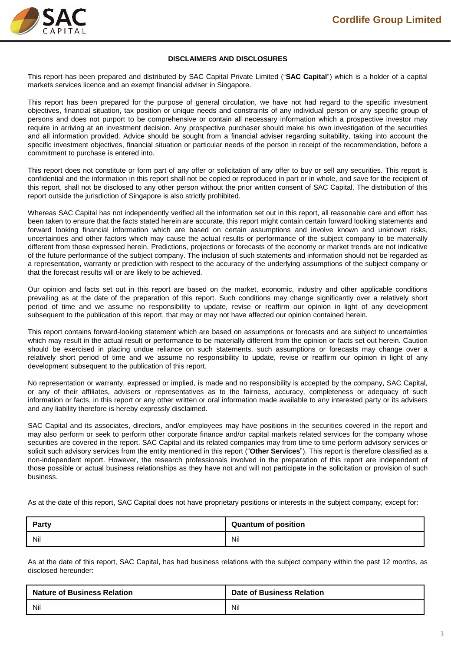

#### **DISCLAIMERS AND DISCLOSURES**

This report has been prepared and distributed by SAC Capital Private Limited ("**SAC Capital**") which is a holder of a capital markets services licence and an exempt financial adviser in Singapore.

This report has been prepared for the purpose of general circulation, we have not had regard to the specific investment objectives, financial situation, tax position or unique needs and constraints of any individual person or any specific group of persons and does not purport to be comprehensive or contain all necessary information which a prospective investor may require in arriving at an investment decision. Any prospective purchaser should make his own investigation of the securities and all information provided. Advice should be sought from a financial adviser regarding suitability, taking into account the specific investment objectives, financial situation or particular needs of the person in receipt of the recommendation, before a commitment to purchase is entered into.

This report does not constitute or form part of any offer or solicitation of any offer to buy or sell any securities. This report is confidential and the information in this report shall not be copied or reproduced in part or in whole, and save for the recipient of this report, shall not be disclosed to any other person without the prior written consent of SAC Capital. The distribution of this report outside the jurisdiction of Singapore is also strictly prohibited.

Whereas SAC Capital has not independently verified all the information set out in this report, all reasonable care and effort has been taken to ensure that the facts stated herein are accurate, this report might contain certain forward looking statements and forward looking financial information which are based on certain assumptions and involve known and unknown risks, uncertainties and other factors which may cause the actual results or performance of the subject company to be materially different from those expressed herein. Predictions, projections or forecasts of the economy or market trends are not indicative of the future performance of the subject company. The inclusion of such statements and information should not be regarded as a representation, warranty or prediction with respect to the accuracy of the underlying assumptions of the subject company or that the forecast results will or are likely to be achieved.

Our opinion and facts set out in this report are based on the market, economic, industry and other applicable conditions prevailing as at the date of the preparation of this report. Such conditions may change significantly over a relatively short period of time and we assume no responsibility to update, revise or reaffirm our opinion in light of any development subsequent to the publication of this report, that may or may not have affected our opinion contained herein.

This report contains forward-looking statement which are based on assumptions or forecasts and are subject to uncertainties which may result in the actual result or performance to be materially different from the opinion or facts set out herein. Caution should be exercised in placing undue reliance on such statements. such assumptions or forecasts may change over a relatively short period of time and we assume no responsibility to update, revise or reaffirm our opinion in light of any development subsequent to the publication of this report.

No representation or warranty, expressed or implied, is made and no responsibility is accepted by the company, SAC Capital, or any of their affiliates, advisers or representatives as to the fairness, accuracy, completeness or adequacy of such information or facts, in this report or any other written or oral information made available to any interested party or its advisers and any liability therefore is hereby expressly disclaimed.

SAC Capital and its associates, directors, and/or employees may have positions in the securities covered in the report and may also perform or seek to perform other corporate finance and/or capital markets related services for the company whose securities are covered in the report. SAC Capital and its related companies may from time to time perform advisory services or solicit such advisory services from the entity mentioned in this report ("**Other Services**"). This report is therefore classified as a non-independent report. However, the research professionals involved in the preparation of this report are independent of those possible or actual business relationships as they have not and will not participate in the solicitation or provision of such business.

As at the date of this report, SAC Capital does not have proprietary positions or interests in the subject company, except for:

| Party | <b>Quantum of position</b> |
|-------|----------------------------|
| Nil   | Nil                        |

As at the date of this report, SAC Capital, has had business relations with the subject company within the past 12 months, as disclosed hereunder:

| <b>Nature of Business Relation</b> | <b>Date of Business Relation</b> |
|------------------------------------|----------------------------------|
| Nil                                | Nil                              |